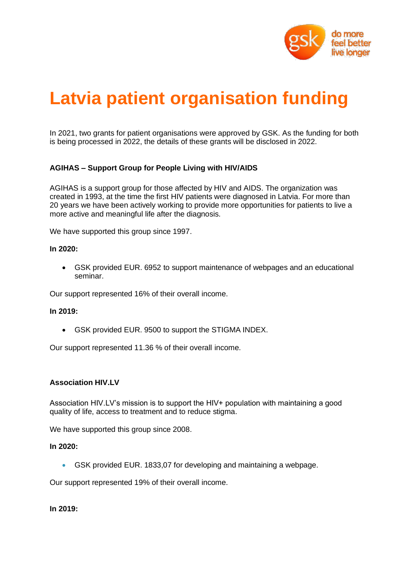

# **Latvia patient organisation funding**

In 2021, two grants for patient organisations were approved by GSK. As the funding for both is being processed in 2022, the details of these grants will be disclosed in 2022.

# **AGIHAS – Support Group for People Living with HIV/AIDS**

AGIHAS is a support group for those affected by HIV and AIDS. The organization was created in 1993, at the time the first HIV patients were diagnosed in Latvia. For more than 20 years we have been actively working to provide more opportunities for patients to live a more active and meaningful life after the diagnosis.

We have supported this group since 1997.

#### **In 2020:**

• GSK provided EUR. 6952 to support maintenance of webpages and an educational seminar.

Our support represented 16% of their overall income.

#### **In 2019:**

• GSK provided EUR. 9500 to support the STIGMA INDEX.

Our support represented 11.36 % of their overall income.

#### **Association HIV.LV**

Association HIV.LV's mission is to support the HIV+ population with maintaining a good quality of life, access to treatment and to reduce stigma.

We have supported this group since 2008.

#### **In 2020:**

• GSK provided EUR. 1833,07 for developing and maintaining a webpage.

Our support represented 19% of their overall income.

**In 2019:**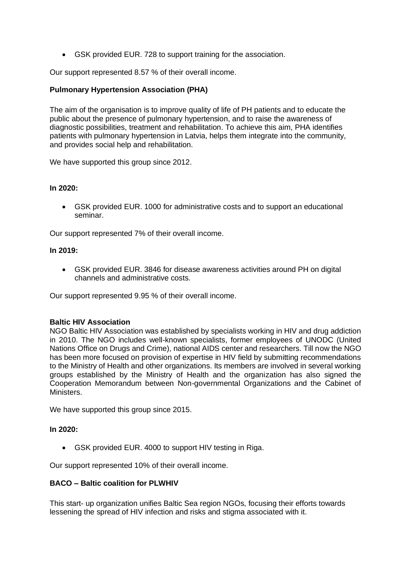• GSK provided EUR. 728 to support training for the association.

Our support represented 8.57 % of their overall income.

# **Pulmonary Hypertension Association (PHA)**

The aim of the organisation is to improve quality of life of PH patients and to educate the public about the presence of pulmonary hypertension, and to raise the awareness of diagnostic possibilities, treatment and rehabilitation. To achieve this aim, PHA identifies patients with pulmonary hypertension in Latvia, helps them integrate into the community, and provides social help and rehabilitation.

We have supported this group since 2012.

#### **In 2020:**

• GSK provided EUR. 1000 for administrative costs and to support an educational seminar.

Our support represented 7% of their overall income.

#### **In 2019:**

• GSK provided EUR. 3846 for disease awareness activities around PH on digital channels and administrative costs.

Our support represented 9.95 % of their overall income.

# **Baltic HIV Association**

NGO Baltic HIV Association was established by specialists working in HIV and drug addiction in 2010. The NGO includes well-known specialists, former employees of UNODC (United Nations Office on Drugs and Crime), national AIDS center and researchers. Till now the NGO has been more focused on provision of expertise in HIV field by submitting recommendations to the Ministry of Health and other organizations. Its members are involved in several working groups established by the Ministry of Health and the organization has also signed the Cooperation Memorandum between Non-governmental Organizations and the Cabinet of Ministers.

We have supported this group since 2015.

# **In 2020:**

• GSK provided EUR. 4000 to support HIV testing in Riga.

Our support represented 10% of their overall income.

# **BACO – Baltic coalition for PLWHIV**

This start- up organization unifies Baltic Sea region NGOs, focusing their efforts towards lessening the spread of HIV infection and risks and stigma associated with it.